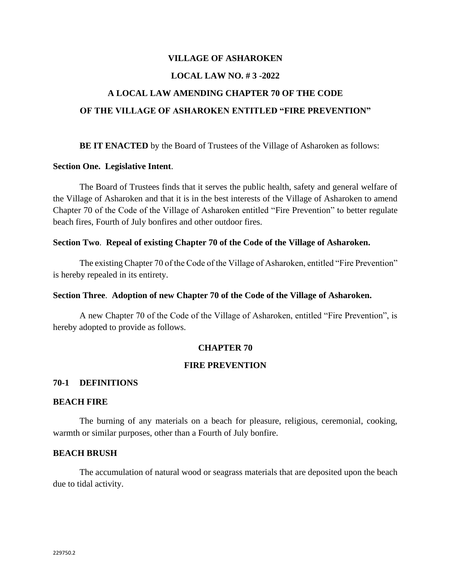# **VILLAGE OF ASHAROKEN LOCAL LAW NO. # 3 -2022 A LOCAL LAW AMENDING CHAPTER 70 OF THE CODE OF THE VILLAGE OF ASHAROKEN ENTITLED "FIRE PREVENTION"**

**BE IT ENACTED** by the Board of Trustees of the Village of Asharoken as follows:

## **Section One. Legislative Intent**.

The Board of Trustees finds that it serves the public health, safety and general welfare of the Village of Asharoken and that it is in the best interests of the Village of Asharoken to amend Chapter 70 of the Code of the Village of Asharoken entitled "Fire Prevention" to better regulate beach fires, Fourth of July bonfires and other outdoor fires.

## **Section Two**. **Repeal of existing Chapter 70 of the Code of the Village of Asharoken.**

The existing Chapter 70 of the Code of the Village of Asharoken, entitled "Fire Prevention" is hereby repealed in its entirety.

#### **Section Three**. **Adoption of new Chapter 70 of the Code of the Village of Asharoken.**

A new Chapter 70 of the Code of the Village of Asharoken, entitled "Fire Prevention", is hereby adopted to provide as follows.

#### **CHAPTER 70**

## **FIRE PREVENTION**

#### **70-1 DEFINITIONS**

#### **BEACH FIRE**

The burning of any materials on a beach for pleasure, religious, ceremonial, cooking, warmth or similar purposes, other than a Fourth of July bonfire.

#### **BEACH BRUSH**

The accumulation of natural wood or seagrass materials that are deposited upon the beach due to tidal activity.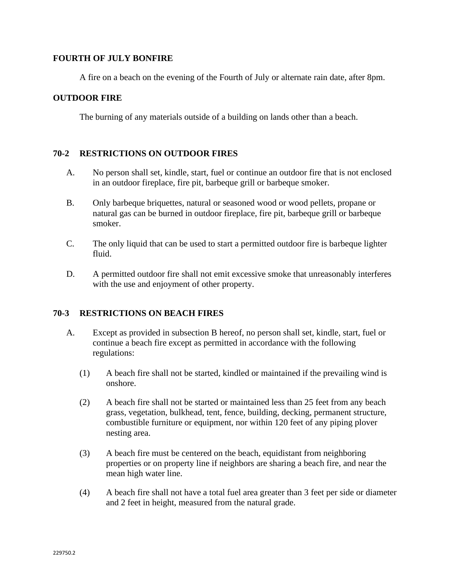## **FOURTH OF JULY BONFIRE**

A fire on a beach on the evening of the Fourth of July or alternate rain date, after 8pm.

## **OUTDOOR FIRE**

The burning of any materials outside of a building on lands other than a beach.

## **70-2 RESTRICTIONS ON OUTDOOR FIRES**

- A. No person shall set, kindle, start, fuel or continue an outdoor fire that is not enclosed in an outdoor fireplace, fire pit, barbeque grill or barbeque smoker.
- B. Only barbeque briquettes, natural or seasoned wood or wood pellets, propane or natural gas can be burned in outdoor fireplace, fire pit, barbeque grill or barbeque smoker.
- C. The only liquid that can be used to start a permitted outdoor fire is barbeque lighter fluid.
- D. A permitted outdoor fire shall not emit excessive smoke that unreasonably interferes with the use and enjoyment of other property.

## **70-3 RESTRICTIONS ON BEACH FIRES**

- A. Except as provided in subsection B hereof, no person shall set, kindle, start, fuel or continue a beach fire except as permitted in accordance with the following regulations:
	- (1) A beach fire shall not be started, kindled or maintained if the prevailing wind is onshore.
	- (2) A beach fire shall not be started or maintained less than 25 feet from any beach grass, vegetation, bulkhead, tent, fence, building, decking, permanent structure, combustible furniture or equipment, nor within 120 feet of any piping plover nesting area.
	- (3) A beach fire must be centered on the beach, equidistant from neighboring properties or on property line if neighbors are sharing a beach fire, and near the mean high water line.
	- (4) A beach fire shall not have a total fuel area greater than 3 feet per side or diameter and 2 feet in height, measured from the natural grade.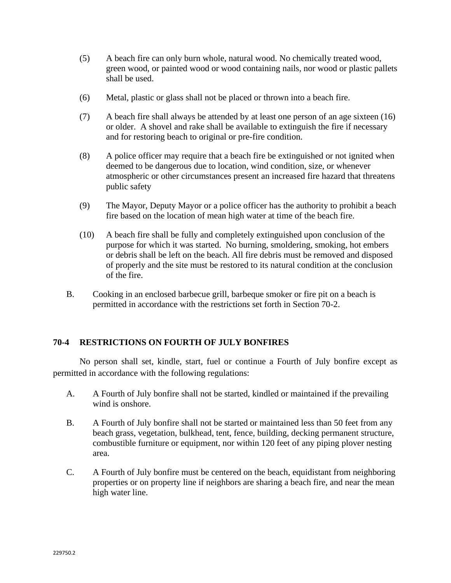- (5) A beach fire can only burn whole, natural wood. No chemically treated wood, green wood, or painted wood or wood containing nails, nor wood or plastic pallets shall be used.
- (6) Metal, plastic or glass shall not be placed or thrown into a beach fire.
- (7) A beach fire shall always be attended by at least one person of an age sixteen (16) or older. A shovel and rake shall be available to extinguish the fire if necessary and for restoring beach to original or pre-fire condition.
- (8) A police officer may require that a beach fire be extinguished or not ignited when deemed to be dangerous due to location, wind condition, size, or whenever atmospheric or other circumstances present an increased fire hazard that threatens public safety
- (9) The Mayor, Deputy Mayor or a police officer has the authority to prohibit a beach fire based on the location of mean high water at time of the beach fire.
- (10) A beach fire shall be fully and completely extinguished upon conclusion of the purpose for which it was started. No burning, smoldering, smoking, hot embers or debris shall be left on the beach. All fire debris must be removed and disposed of properly and the site must be restored to its natural condition at the conclusion of the fire.
- B. Cooking in an enclosed barbecue grill, barbeque smoker or fire pit on a beach is permitted in accordance with the restrictions set forth in Section 70-2.

# **70-4 RESTRICTIONS ON FOURTH OF JULY BONFIRES**

No person shall set, kindle, start, fuel or continue a Fourth of July bonfire except as permitted in accordance with the following regulations:

- A. A Fourth of July bonfire shall not be started, kindled or maintained if the prevailing wind is onshore.
- B. A Fourth of July bonfire shall not be started or maintained less than 50 feet from any beach grass, vegetation, bulkhead, tent, fence, building, decking permanent structure, combustible furniture or equipment, nor within 120 feet of any piping plover nesting area.
- C. A Fourth of July bonfire must be centered on the beach, equidistant from neighboring properties or on property line if neighbors are sharing a beach fire, and near the mean high water line.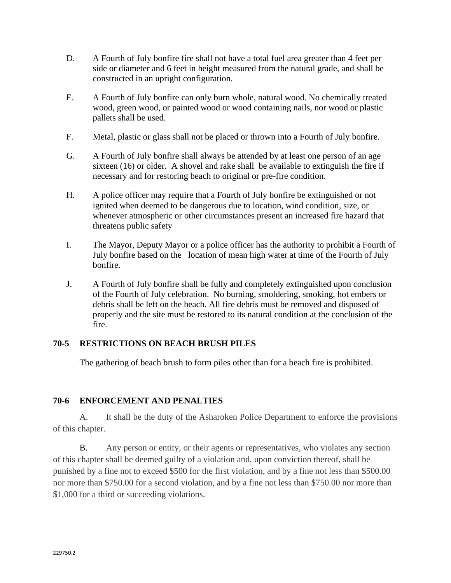- D. A Fourth of July bonfire fire shall not have a total fuel area greater than 4 feet per side or diameter and 6 feet in height measured from the natural grade, and shall be constructed in an upright configuration.
- E. A Fourth of July bonfire can only burn whole, natural wood. No chemically treated wood, green wood, or painted wood or wood containing nails, nor wood or plastic pallets shall be used.
- F. Metal, plastic or glass shall not be placed or thrown into a Fourth of July bonfire.
- G. A Fourth of July bonfire shall always be attended by at least one person of an age sixteen (16) or older. A shovel and rake shall be available to extinguish the fire if necessary and for restoring beach to original or pre-fire condition.
- H. A police officer may require that a Fourth of July bonfire be extinguished or not ignited when deemed to be dangerous due to location, wind condition, size, or whenever atmospheric or other circumstances present an increased fire hazard that threatens public safety
- I. The Mayor, Deputy Mayor or a police officer has the authority to prohibit a Fourth of July bonfire based on the location of mean high water at time of the Fourth of July bonfire.
- J. A Fourth of July bonfire shall be fully and completely extinguished upon conclusion of the Fourth of July celebration. No burning, smoldering, smoking, hot embers or debris shall be left on the beach. All fire debris must be removed and disposed of properly and the site must be restored to its natural condition at the conclusion of the fire.

# **70-5 RESTRICTIONS ON BEACH BRUSH PILES**

The gathering of beach brush to form piles other than for a beach fire is prohibited.

# **70-6 ENFORCEMENT AND PENALTIES**

A. It shall be the duty of the Asharoken Police Department to enforce the provisions of this chapter.

B. Any person or entity, or their agents or representatives, who violates any section of this chapter shall be deemed guilty of a violation and, upon conviction thereof, shall be punished by a fine not to exceed \$500 for the first violation, and by a fine not less than \$500.00 nor more than \$750.00 for a second violation, and by a fine not less than \$750.00 nor more than \$1,000 for a third or succeeding violations.